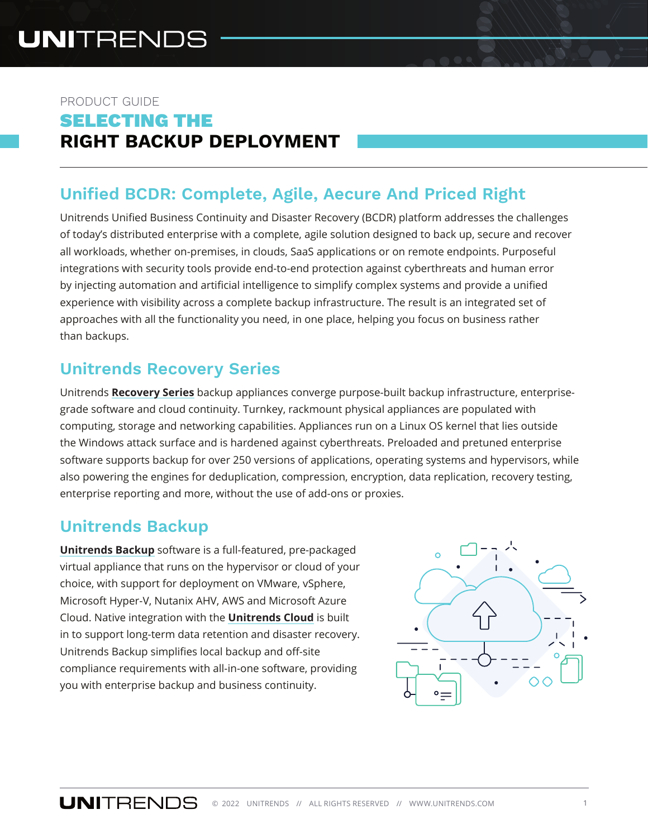## PRODUCT GUIDE SELECTING THE **RIGHT BACKUP DEPLOYMENT**

# **Unified BCDR: Complete, Agile, Aecure And Priced Right**

Unitrends Unified Business Continuity and Disaster Recovery (BCDR) platform addresses the challenges of today's distributed enterprise with a complete, agile solution designed to back up, secure and recover all workloads, whether on-premises, in clouds, SaaS applications or on remote endpoints. Purposeful integrations with security tools provide end-to-end protection against cyberthreats and human error by injecting automation and artificial intelligence to simplify complex systems and provide a unified experience with visibility across a complete backup infrastructure. The result is an integrated set of approaches with all the functionality you need, in one place, helping you focus on business rather than backups.

## **Unitrends Recovery Series**

Unitrends **[Recovery Series](https://www.unitrends.com/products/recovery-series-backup-appliances)** backup appliances converge purpose-built backup infrastructure, enterprisegrade software and cloud continuity. Turnkey, rackmount physical appliances are populated with computing, storage and networking capabilities. Appliances run on a Linux OS kernel that lies outside the Windows attack surface and is hardened against cyberthreats. Preloaded and pretuned enterprise software supports backup for over 250 versions of applications, operating systems and hypervisors, while also powering the engines for deduplication, compression, encryption, data replication, recovery testing, enterprise reporting and more, without the use of add-ons or proxies.

## **Unitrends Backup**

**[Unitrends Backup](https://www.unitrends.com/products/enterprise-backup-software)** software is a full-featured, pre-packaged virtual appliance that runs on the hypervisor or cloud of your choice, with support for deployment on VMware, vSphere, Microsoft Hyper-V, Nutanix AHV, AWS and Microsoft Azure Cloud. Native integration with the **[Unitrends Cloud](https://www.unitrends.com/products/forever-cloud-storage)** is built in to support long-term data retention and disaster recovery. Unitrends Backup simplifies local backup and off-site compliance requirements with all-in-one software, providing you with enterprise backup and business continuity.

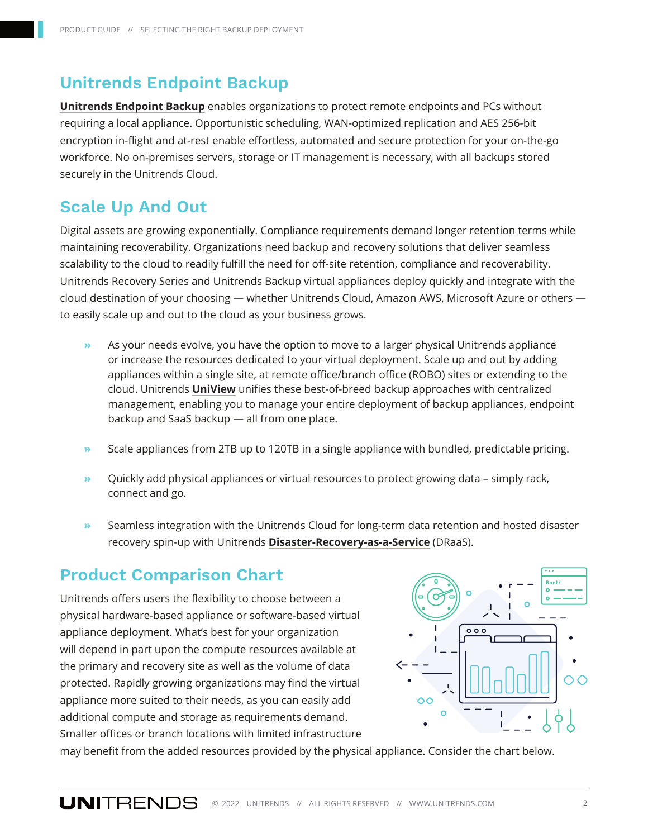### **Unitrends Endpoint Backup**

**[Unitrends Endpoint Backup](https://www.unitrends.com/products/unitrends-endpoint-backup)** enables organizations to protect remote endpoints and PCs without requiring a local appliance. Opportunistic scheduling, WAN-optimized replication and AES 256-bit encryption in-flight and at-rest enable effortless, automated and secure protection for your on-the-go workforce. No on-premises servers, storage or IT management is necessary, with all backups stored securely in the Unitrends Cloud.

#### **Scale Up And Out**

Digital assets are growing exponentially. Compliance requirements demand longer retention terms while maintaining recoverability. Organizations need backup and recovery solutions that deliver seamless scalability to the cloud to readily fulfill the need for off-site retention, compliance and recoverability. Unitrends Recovery Series and Unitrends Backup virtual appliances deploy quickly and integrate with the cloud destination of your choosing — whether Unitrends Cloud, Amazon AWS, Microsoft Azure or others to easily scale up and out to the cloud as your business grows.

- **»** As your needs evolve, you have the option to move to a larger physical Unitrends appliance or increase the resources dedicated to your virtual deployment. Scale up and out by adding appliances within a single site, at remote office/branch office (ROBO) sites or extending to the cloud. Unitrends **[UniView](https://www.unitrends.com/products/uniview)** unifies these best-of-breed backup approaches with centralized management, enabling you to manage your entire deployment of backup appliances, endpoint backup and SaaS backup — all from one place.
- **»** Scale appliances from 2TB up to 120TB in a single appliance with bundled, predictable pricing.
- **»** Quickly add physical appliances or virtual resources to protect growing data simply rack, connect and go.
- **»** Seamless integration with the Unitrends Cloud for long-term data retention and hosted disaster recovery spin-up with Unitrends **[Disaster-Recovery-as-a-Service](https://www.unitrends.com/products/draas)** (DRaaS).

#### **Product Comparison Chart**

Unitrends offers users the flexibility to choose between a physical hardware-based appliance or software-based virtual appliance deployment. What's best for your organization will depend in part upon the compute resources available at the primary and recovery site as well as the volume of data protected. Rapidly growing organizations may find the virtual appliance more suited to their needs, as you can easily add additional compute and storage as requirements demand. Smaller offices or branch locations with limited infrastructure



may benefit from the added resources provided by the physical appliance. Consider the chart below.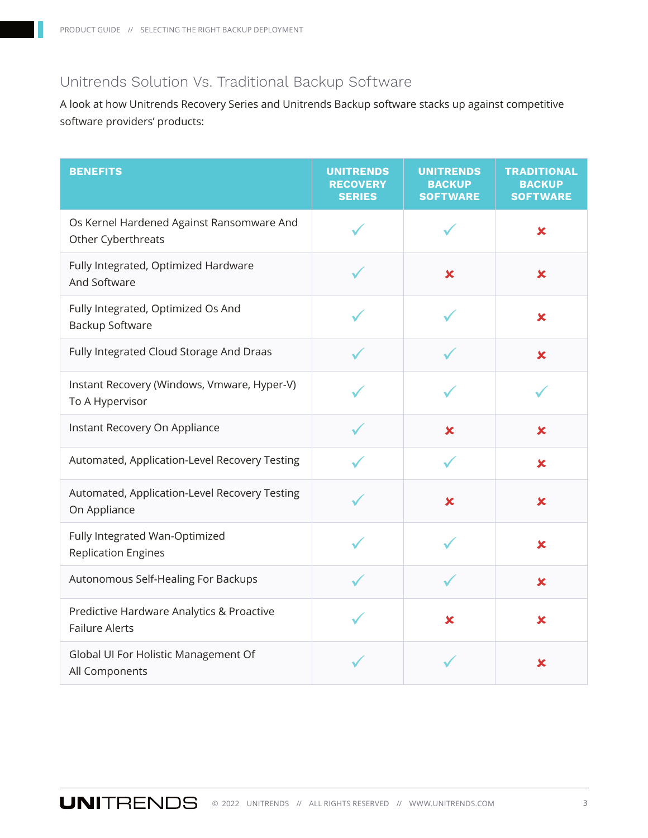#### Unitrends Solution Vs. Traditional Backup Software

A look at how Unitrends Recovery Series and Unitrends Backup software stacks up against competitive software providers' products:

| <b>BENEFITS</b>                                                    | <b>UNITRENDS</b><br><b>RECOVERY</b><br><b>SERIES</b> | <b>UNITRENDS</b><br><b>BACKUP</b><br><b>SOFTWARE</b> | <b>TRADITIONAL</b><br><b>BACKUP</b><br><b>SOFTWARE</b> |
|--------------------------------------------------------------------|------------------------------------------------------|------------------------------------------------------|--------------------------------------------------------|
| Os Kernel Hardened Against Ransomware And<br>Other Cyberthreats    |                                                      |                                                      | $\mathbf x$                                            |
| Fully Integrated, Optimized Hardware<br>And Software               |                                                      | $\mathbf x$                                          | $\boldsymbol{\mathsf{x}}$                              |
| Fully Integrated, Optimized Os And<br>Backup Software              |                                                      |                                                      | $\boldsymbol{\mathsf{x}}$                              |
| Fully Integrated Cloud Storage And Draas                           |                                                      |                                                      | $\boldsymbol{\mathsf{x}}$                              |
| Instant Recovery (Windows, Vmware, Hyper-V)<br>To A Hypervisor     |                                                      |                                                      |                                                        |
| Instant Recovery On Appliance                                      |                                                      | $\pmb{\times}$                                       | $\mathbf x$                                            |
| Automated, Application-Level Recovery Testing                      |                                                      |                                                      | $\boldsymbol{\mathsf{x}}$                              |
| Automated, Application-Level Recovery Testing<br>On Appliance      |                                                      | $\mathbf x$                                          | $\boldsymbol{\mathsf{x}}$                              |
| Fully Integrated Wan-Optimized<br><b>Replication Engines</b>       |                                                      |                                                      | $\boldsymbol{\mathsf{x}}$                              |
| Autonomous Self-Healing For Backups                                |                                                      |                                                      | $\mathbf x$                                            |
| Predictive Hardware Analytics & Proactive<br><b>Failure Alerts</b> |                                                      | $\overline{\mathbf{x}}$                              | $\overline{\mathbf{x}}$                                |
| Global UI For Holistic Management Of<br>All Components             |                                                      |                                                      | x                                                      |